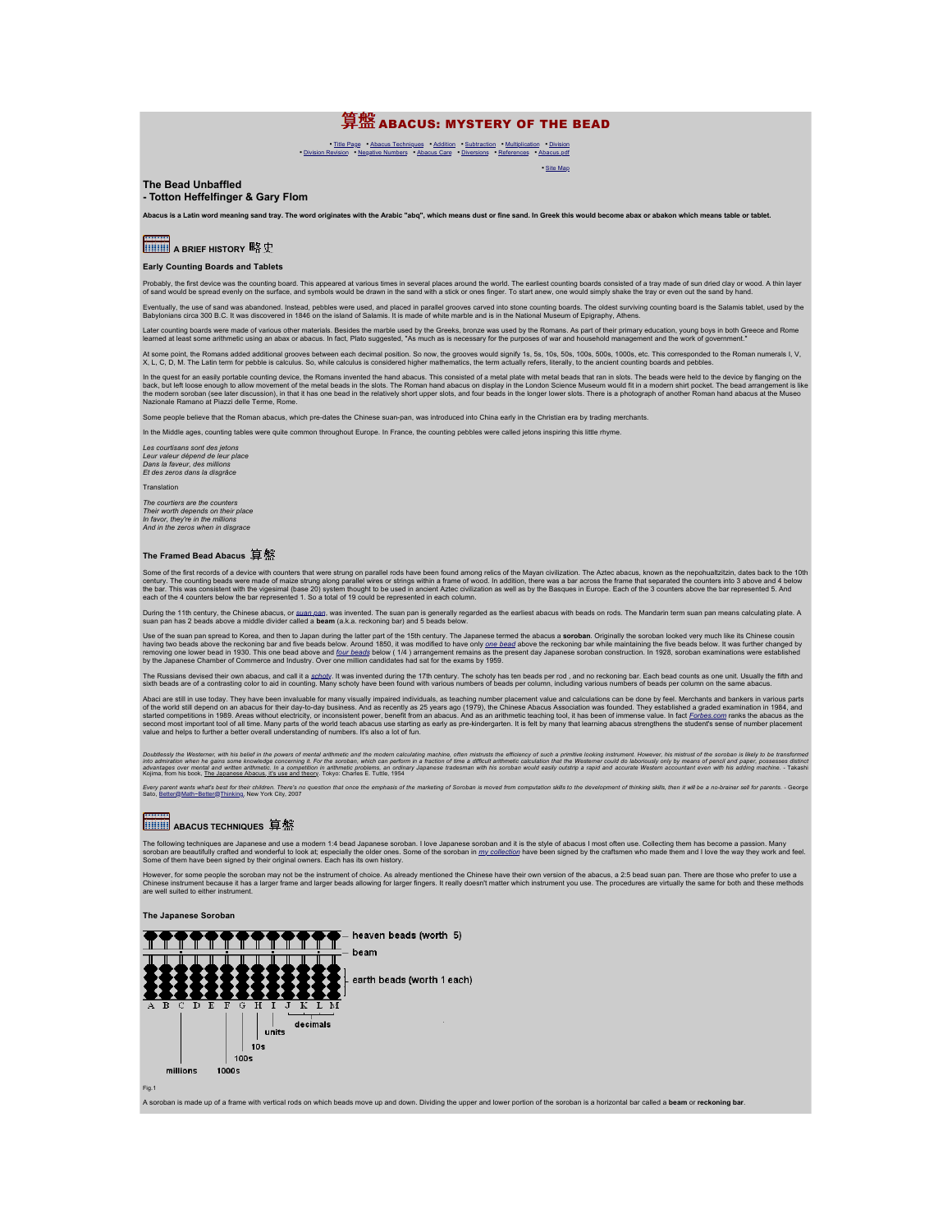## 算盤 ABACUS: MYSTERY OF THE BEAD

▪ [Site Map](http://webhome.idirect.com/~totton/abacus/sitemap.html)

■ [Title Page](http://webhome.idirect.com/~totton/abacus/) [Abacus Techniques](http://webhome.idirect.com/~totton/abacus/pages.htm#Soroban1) • [Addition](http://webhome.idirect.com/~totton/abacus/pages.htm#Addition1) [Subtraction](http://webhome.idirect.com/~totton/abacus/pages.htm#Subtraction1) [Multiplication](http://webhome.idirect.com/~totton/abacus/pages.htm#Multiplication1) [Division](http://webhome.idirect.com/~totton/abacus/pages.htm#Division1)<br>▪ [Division Revision](http://webhome.idirect.com/~totton/abacus/pages.htm#Revision1) [Negative Numbers](http://webhome.idirect.com/~totton/abacus/pages.htm#Negative1) • [Abacus Care](http://webhome.idirect.com/~totton/abacus/pages.htm#Care1) Piversions • [References](http://webhome.idirect.com/~totton/abacus/pages.htm#References1) • [Abacus.pdf](http://webhome.idirect.com/~totton/abacus/PDF.htm)

## **The Bead Unbaffled**

**- Totton Heffelfinger & Gary Flom**

Abacus is a Latin word meaning sand tray. The word originates with the Arabic "abg", which means dust or fine sand. In Greek this would become abax or abakon which means table or tablet

**A BRIEF HISTORY** 略史

## **Early Counting Boards and Tablets**

Probably, the first device was the counting board. This appeared at various times in several places around the world. The earliest counting boards consisted of a tray made of a stray the tray or even out the sand by hand.<br>

Eventually, the use of sand was abandoned. Instead, pebbles were used, and placed in parallel grooves carved into stone counting bardfologoard is the Salamis tablet, used by the Salamis tablet, used by the Salamis tablet,

Later counting boards were made of various other materials. Besides the marble used by the Greeks, bronze was used by the Romans. As part of their primary education, young boys in both Greece and Rome<br>learned at least some

At some point, the Romans added additional grooves between each decimal position. So now, the groves would signify 1s, 5s, 10s, 50s, 100s, 1000s, etc. This corresponded to the Roman numerals I, V,<br>X. L. C. D. M. The Latin

In the quest for an easily portable counting device, the Roman sinvented the hand absous. This consisted of a metal plate with metal beads that ran in slobs. The beads were held to be evice by fanging on the Decktor The be

Some people believe that the Roman abacus, which pre-dates the Chinese suan-pan, was introduced into China early in the Christian era by trading merchants.

In the Middle ages, counting tables were quite common throughout Europe. In France, the counting pebbles were called jetons inspiring this little rhym

*Les courtisans sont des jetons Leur valeur dépend de leur place Dans la faveur, des millions Et des zeros dans la disgrâce* Translation

#### *The courtiers are the counters*

*Their worth depends on their place In favor, they're in the millions And in the zeros when in disgrace*

## **The Framed Bead Abacus**

Some of the first records of a device with counters that were strung on parallel rods have been found among relics of the Mayan civilization. The Aziec abacus, known as the nepohualizizin, dates by computation among relic

During the 11th century, the Chinese abacus, or <u>[suan pan](http://webhome.idirect.com/~totton/abacus/Photos/1.htm),</u> was invented. The suan pan is generally regarded as the earliest abacus with beads on rods. The Mandarin term suan pan means calculating plate. A<br>suan pan has 2 b

Use of the suan pan spread to Korea, and the house has been to the that the finity of the 15th century. The Japanese termed the abacus a **soroban**. Originally the soroban looked very much kend to be add solve the reckoning

The Russians devised their own abacus, and call it a <u>schot</u>y. It was invented during the 17th century. The [schoty](http://webhome.idirect.com/~totton/abacus/Photos/7.htm) has ten beads per rod , and no reckoning bar. Each beads per colums as one unit. Usually the fifth and<br>sixt

Abad are still in use today. They have been invaluable for many visually impaired individuals, as teaching number placement value and calculations can be done by fee!. Merchants and bankers in various parts are to the worl

Doublessly the Westemer, with his belief in the powers of mental arithmetic and the modern calculating machine, other mistrists the efficiency of such a primitw looking instrument. However, his mistrixted in the Western co

Every parent wants what's best for their children. There's no question that once the emphasis of the marketing of Soroban is moved from computation skills to the development of thinking skills, then it will be a no-brainer

## **BUILD** ABACUS TECHNIQUES 算盤

The following techniques are Japanese and use a modern 1:4 bead Japanese soroban. I love Japanese soroban and it is the style of abacus I most often use. Collecting them has become a passion. Many<br>soroban are beautifuly cr

However, for some people the soroban may not be the instrument of choice. As already mentioned the Chinese have their own version of the abacus, a 2:5 bead suan pan. There are those who prefer to use a<br>Chinese instrument b

#### **The Japanese Soroban**



A soroban is made up of a frame with vertical rods on which beads move up and down. Dividing the upper and lower portion of the soroban is a horizontal bar called a **beam** or **reckoning bar**.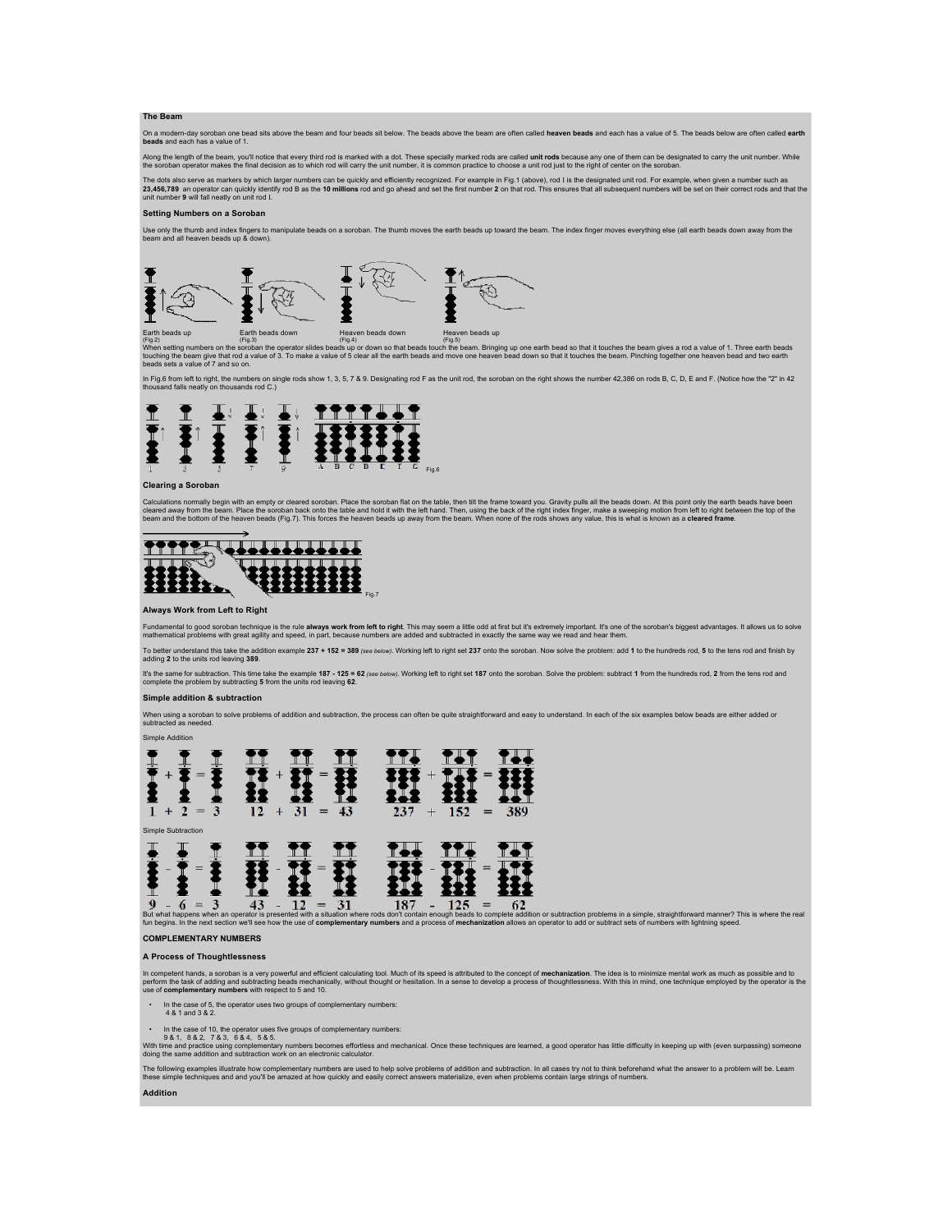## **The Beam**

On a modern-day soroban one bead sits above the beam and four beads sit below. The beads above the beam are often called **heaven beads a**nd each has a value of 5. The beads below are often called **earth**<br>**beads** and each h

Along the length of the beam, you'll notice that every third rod is marked with a dot. These specially marked rods are called **unit rods** because any one of them can be designated to carry the unit number. While<br>the soroba

The dots also serve as markers by which larger numbers can be quickly and efficiently recognized. For example in Fig.1 (above), rod I is the designated unit rod. For example, when given a number such as<br>23,456,789 an opera

#### **Setting Numbers on a Soroban**

Use only the thumb and index fingers to manipulate beads on a soroban. The thumb moves the earth beads up toward the beam. The index finger moves everything else (all earth beads down away from the<br>beam and all heaven bead



Earth beads down<br>
(Fig.3)<br>
(Fig.5)<br>
Cripa (Fig.5)<br>
(Fig.5) (Fig.5)<br>
(Fig.5) (Fig.5) (Fig.5) (Fig.5) (Fig.5) (Fig.5) (Fig.5) (Fig.5) (Fig.5)<br>
(Fig.3) (Fig.5) (Fig.5) (Fig.5) (Fig.5) (Fig.5) (Fig.5) (Fig.5) (Fig.5) (Fig.5) (

In Fig.6 from left to right, the numbers on single rods show 1, 3, 5, 7 & 9. Designating rod F as the unit rod, the soroban on the right shows the number 42,386 on rods B, C, D, E and F. (Notice how the "2" in 42<br>thousand



## **Clearing a Soroban**

Calculations normally begin with an empty or cleared soroban. Place the soroban flat on the table, then tilt the frame toward you. Gravity pulls all the beads down. At this point only the earth beads have been<br>cleared away



#### **Always Work from Left to Right**

Fundamental to good soroban technique is the rule **always work from left to righ**t. This may seem a little odd at first but it's extremely important. It's one of the soroban's biggest advantages. It allows us to solve<br>math

To better understand this take the addition example 237 + 152 = 389 (see below). Working left to right set 237 onto the soroban. Now solve the problem: add 1 to the hundreds rod, 5 to the tens rod and finish by adding **2** to the units rod leaving **389**.

ll's the same for subtraction. This time take the example 187 - 125 = 62 (see below). Working left to right set 187 onto the soroban. Solve the problem: subtract 1 from the hundreds rod, 2 from the tens rod and<br>complete th

#### **Simple addition & subtraction**

Simple Addition

When using a soroban to solve problems of addition and subtraction, the process can often be quite straightforward and easy to understand. In each of the six examples below beads are either added or<br>subtracted as needed.



But what happens when an operator is presented with a situation where rods don't contain enough beads to complete addition or subtraction problems in a simple, straightforward manner? This is where the real<br>fun begins. In

### **COMPLEMENTARY NUMBERS**

## **A Process of Thoughtlessness**

In competent hands, a soroban is a very powerful and efficient calculating tool. Much of its speed is attributed to the concept of **mechanization**. The idea is to minimize mental work as much as possible and to<br>perform the

- In the case of 5, the operator uses two groups of complementary numbers:
- 4 & 1 and 3 & 2.
- 
- the case of 10, the operator uses five groups of complementary numbers:<br>9 & 1, & & 2, 7 & 3, 6 & 4, 5& 5.<br>With time and practice using complementary numbers becomes effortess and mechanical. Once these techniques

The following examples illustrate how complementary numbers are used to help solve problems of addition and subtraction. In all cases try not to think beforehand what the answer to a problem will be. Learn<br>these simple tec

### **Addition**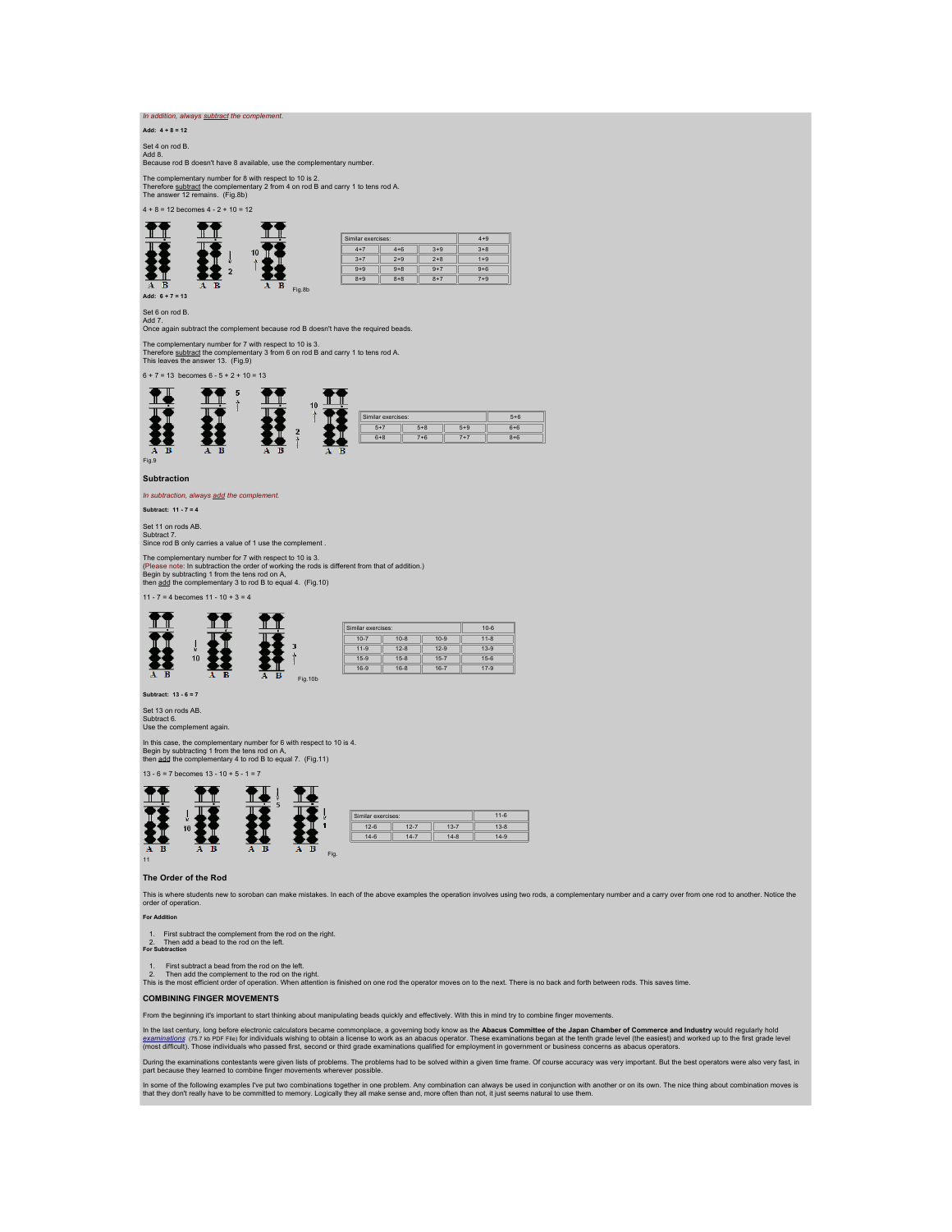## *In addition, always subtract the complement*.

**Add: 4 + 8 = 12**

Set 4 on rod B. Add 8. Because rod B doesn't have 8 available, use the complementary number.

The complementary number for 8 with respect to 10 is 2.<br>Therefore <u>subtract</u> the complementary 2 from 4 on rod B and carry 1 to tens rod A.<br>The answer 12 remains. (Fig.8b)

 $4 + 8 = 12$  becomes  $4 - 2 + 10 = 12$ 

|    |         |        | Similar exercises: |         |         | $4 + 9$ |
|----|---------|--------|--------------------|---------|---------|---------|
|    | 10      |        | $4 + 7$            | $4 + 6$ | $3 + 9$ | $3 + 8$ |
|    |         |        | $3 + 7$            | $2 + 9$ | $2 + 8$ | $1 + 9$ |
|    |         |        | $9 + 9$            | $9 + 8$ | $9 + 7$ | $9 + 6$ |
|    |         |        | $8 + 9$            | $8 + 8$ | $8 + 7$ | $7 + 9$ |
| A. | в<br>z. | Fig.8b |                    |         |         |         |

**Add: 6 + 7 = 13**

Ħ

Set 6 on rod B.<br>Add 7.<br>Once again subtract the complement because rod B doesn't have the required beads.

The complementary number for 7 with respect to 10 is 3. Therefore subtract the complementary 3 from 6 on rod B and carry 1 to tens rod A. This leaves the answer 13. (Fig.9)

 $6 + 7 = 13$  becomes  $6 - 5 + 2 + 10 = 13$ 



**Subtraction**

*In subtraction, always add the complement.*

**Subtract: 11 - 7 = 4**

Set 11 on rods AB. Subtract 7. Since rod B only carries a value of 1 use the complement .

The complementary number for 7 with respect to 10 is 3.<br>(Please note: In subtraction the order of working the rods is different from that of addition.)<br>Begin by subtracting 1 from the tens rod on A,<br>then add the complement

11 - 7 = 4 becomes  $11 - 10 + 3 = 4$ 

 $\downarrow$ 

|    |                        |       | Similar exercises: | $10 - 6$ |          |          |  |  |  |  |
|----|------------------------|-------|--------------------|----------|----------|----------|--|--|--|--|
| 10 | 3                      |       | $10 - 7$           | $10 - 8$ | $10-9$   | $11 - 8$ |  |  |  |  |
|    |                        |       | $11 - 9$           | $12 - 8$ | $12-9$   | $13 - 9$ |  |  |  |  |
|    |                        |       | $15-9$             | $15 - 8$ | $15 - 7$ | $15 - 6$ |  |  |  |  |
|    |                        |       | $16-9$             | $16 - 8$ | $16 - 7$ | $17-9$   |  |  |  |  |
|    | в<br><b>All Street</b> | $A$ B | Fig.10b            |          |          |          |  |  |  |  |

**Subtract: 13 - 6 = 7**

 $\mathbf{T}$ 

Ħ

琵

Set 13 on rods AB.

Subtract 6. Use the complement again.

In this case, the complementary number for 6 with respect to 10 is 4.<br>Begin by subtracting 1 from the tens rod on A,<br>then <u>add</u> the complementary 4 to rod B to equal 7. (Fig.11)

13 - 6 = 7 becomes 13 - 10 + 5 - 1 = 7



#### **The Order of the Rod**

This is where students new to soroban can make mistakes. In each of the above examples the operation involves using two rods, a complementary number and a carry over from one rod to another. Notice the order of operation.

**For Addition**

1. First subtract the complement from the rod on the right. 2. Then add a bead to the rod on the left. **For Subtraction**

1. First subtract a bead from the rod on the left.<br>2. Then add the complement to the rod on the right.<br>This is the most efficient order of operation. When attention is finished on one rod the operator moves on to the next.

## **COMBINING FINGER MOVEMENTS**

From the beginning it's important to start thinking about manipulating beads quickly and effectively. With this in mind try to combine finger movements.

In the last century, long before electronic calculators became commonplace, a governing body know as the **Abacus Committee of the Japan Chamber of Commerce and Industry** would regularly hold<br><u>[examinations](http://webhome.idirect.com/~totton/soroban/Exercises.pdf)</u> ns. x b PDF File

During the examinations contestants were given lists of problems. The problems had to be solved within a given time frame. Of course accuracy was very important. But the best operators were also very fast, in<br>part because

In some of the following examples I've put two combinations together in one problem. Any combination can always be used in conjunction with another or on its own. The nice thing about combination moves is<br>that they don't r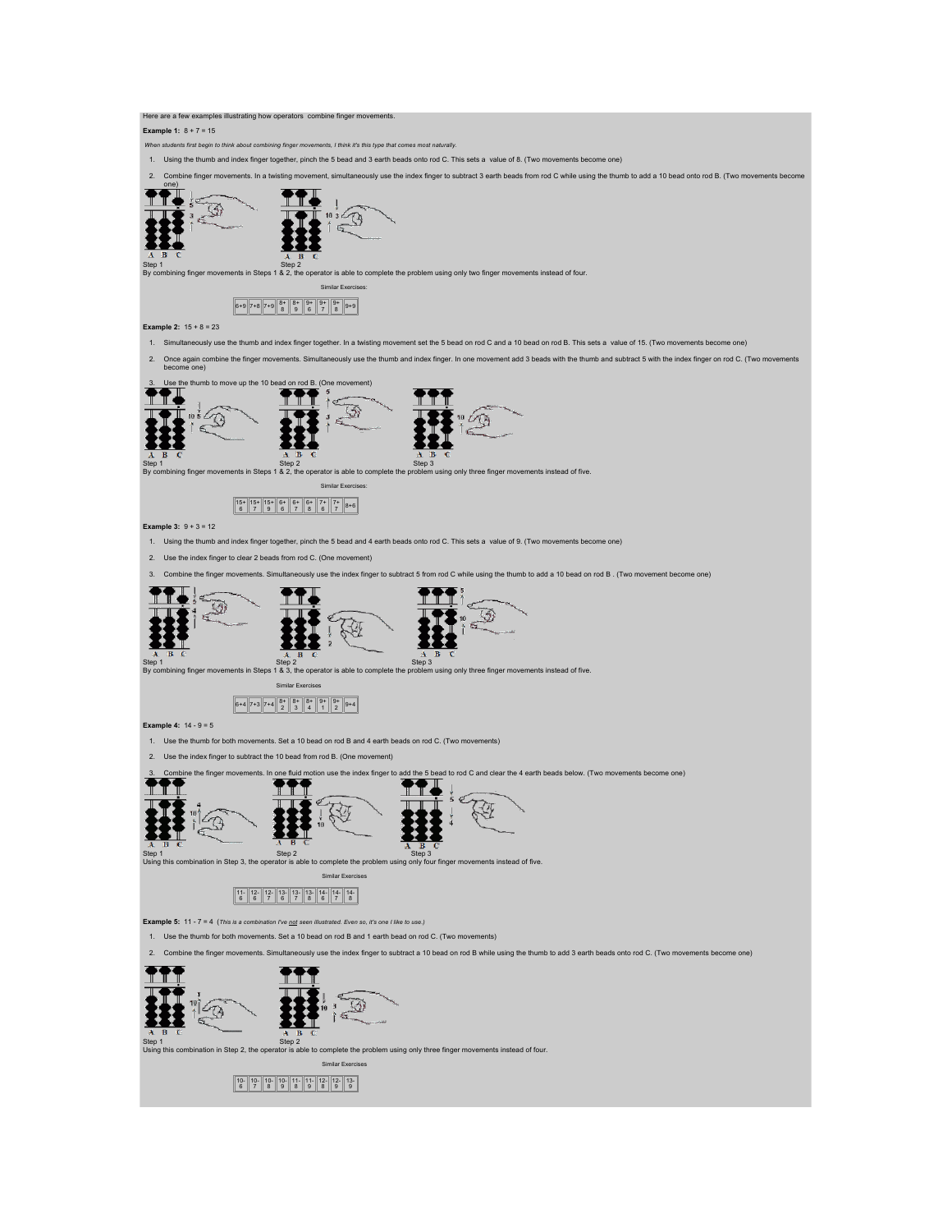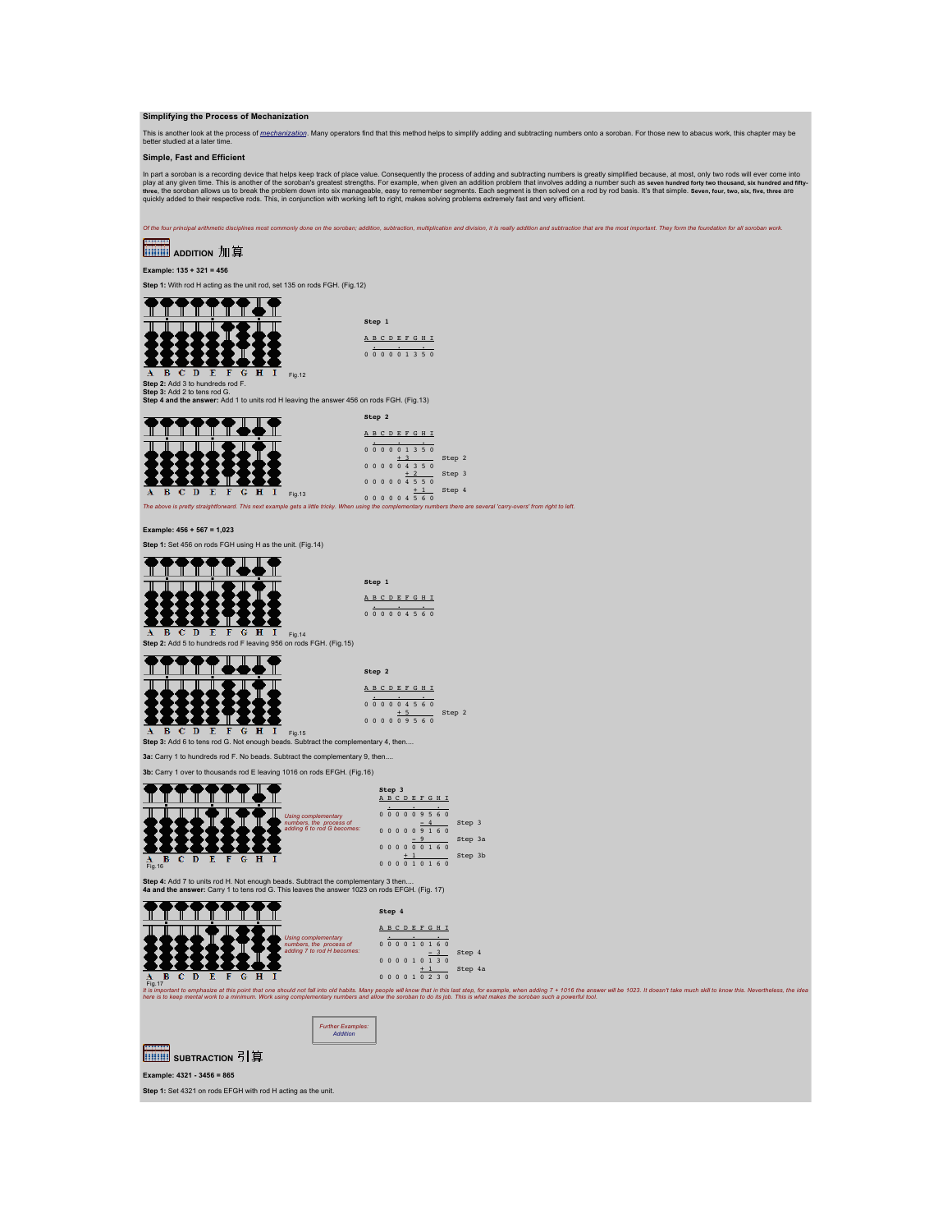**Simplifying the Process of Mechanization**

This is another look at the process of <u>[mechanization](http://webhome.idirect.com/~totton/abacus/Mechanization/)</u>. Many operators find that this method helps to simplify adding and subtracting numbers onto a soroban. For those new to abacus work, this chapter may be<br>better studied

**Simple, Fast and Efficient**

In part a soroban is a recording device that helps keep track of place value. Consequently the process of adding and subtracting numbers is greatly simplified because, at most, only two rods will ever come into the system

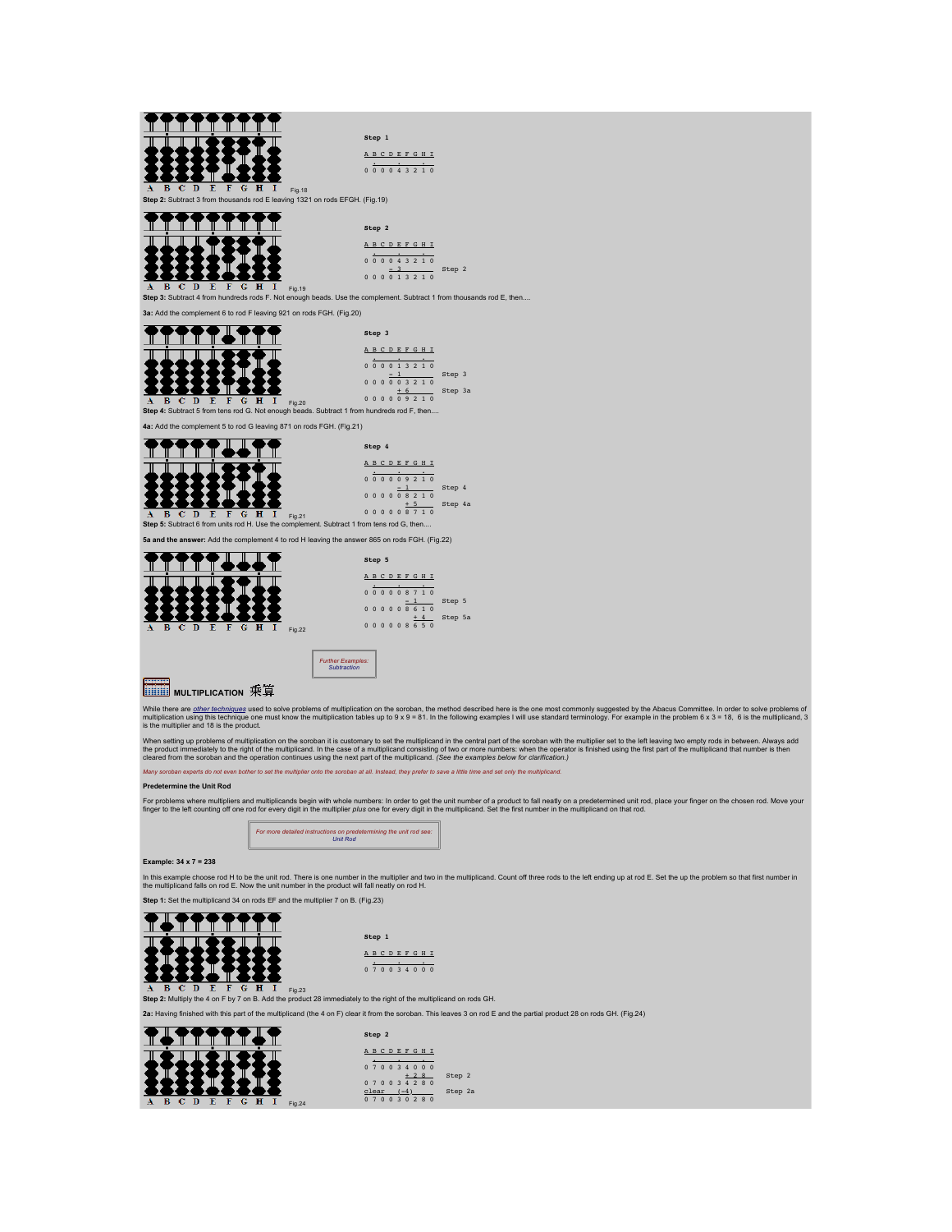

While there are <u>[other techniques](http://webhome.idirect.com/~totton/suanpan/mod_mult/)</u> used to solve problems of multiplication on the soroban, the method described here is the one most commonly suggested by the Abacus Committee. In order to solve problems of<br>multiplication

When setting up problems of multiplication on the soroban it is customary to set the multipliciand in the central part of the soroban with the multiplier set to the left leaving two empty rods in between. Always add<br>the pr

*Many soroban experts do not even bother to set the multiplier onto the soroban at all. Instead, they prefer to save a little time and set only the multiplicand.*

#### **Predetermine the Unit Rod**

For problems where multipliers and multiplicands begin with whole numbers: In order to get the unit number of a product to fall neatly on a predetermined unit rod, place your finger on the chosen rod. Move your<br>finger to t



## **Example: 34 x 7 = 238**

In this example choose rod H to be the unit rod. There is one number in the multipliera md two in the multiplicand. Count off three rods to the left ending up at rod E. Set the up the problem so that first number in<br>the mu

**Step 1:** Set the multiplicand 34 on rods EF and the multiplier 7 on B. (Fig.23)



**Step 1** A B C D E F G H I . . . 0 7 0 0 3 4 0 0 0

Fig.23 **Step 2:** Multiply the 4 on F by 7 on B. Add the product 28 immediately to the right of the multiplicand on rods GH.

**2a:** Having finished with this part of the multiplicand (the 4 on F) clear it from the soroban. This leaves 3 on rod E and the partial product 28 on rods GH. (Fig.24)

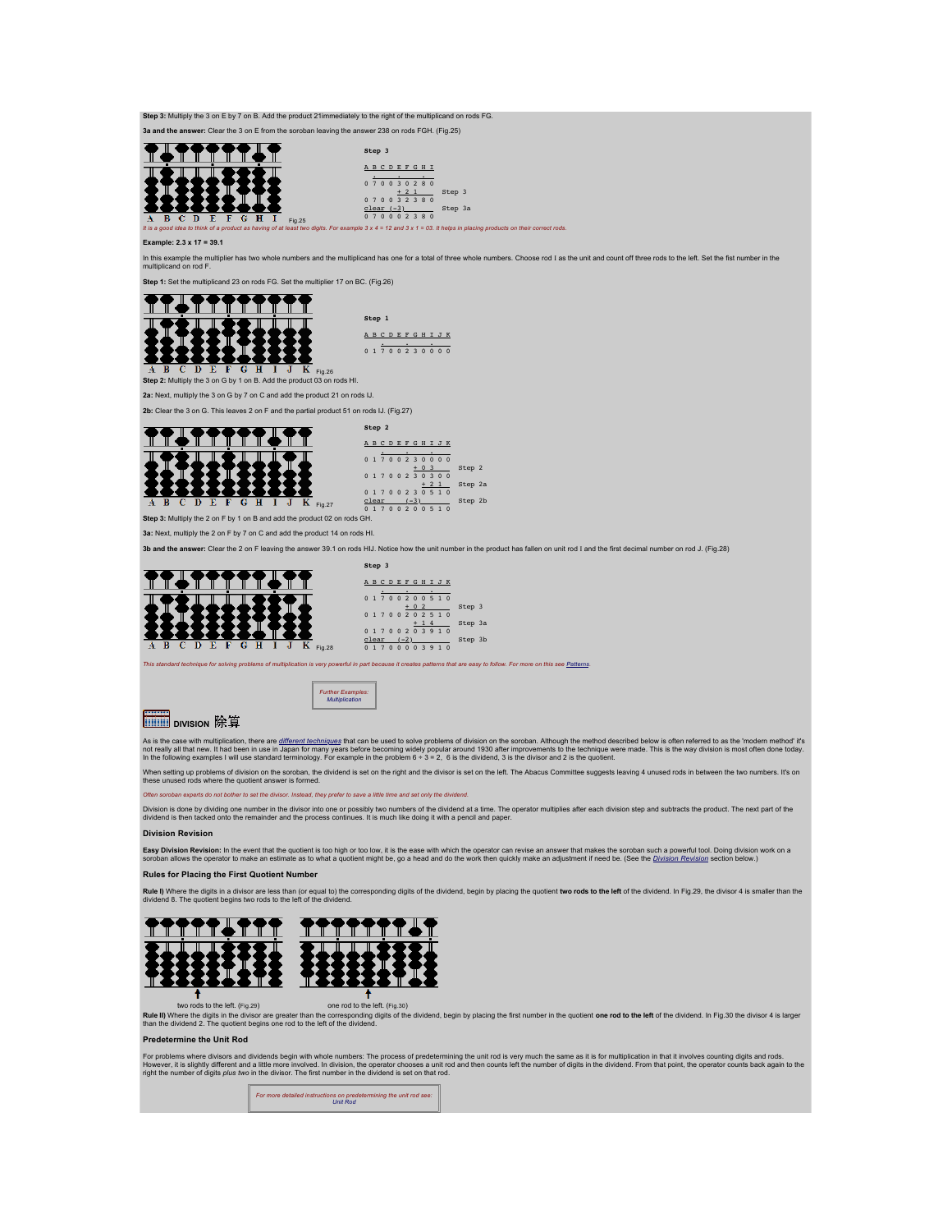**3a and the answer:** Clear the 3 on E from the soroban leaving the answer 238 on rods FGH. (Fig.25) <u> SAAMAZIST</u> **Step 3** 邪我 A B C D E F G H I . . . 0 7 0 0 3 0 2 8 0 + 2 1 Step 3<br>
0 7 0 0 3 2 3 8 0<br>
<u>clear (-3)</u> Step 3a<br>
0 7 0 0 0 2 3 8 0 **C D E F G H I** Fig.25<br>idea to think of a product as having of at least two *J*<br>wo digits. For example 3 x 4 = 12 and 3 x 1 = 03. It helps in placing products on their correct rods **Example: 2.3 x 17 = 39.1** In this example the multiplier has two whole numbers and the multiplicand has one for a total of three whole numbers. Choose rod I as the unit and count off three rods to the left. Set the fist number in the<br>multiplicand o **Step 1:** Set the multiplicand 23 on rods FG. Set the multiplier 17 on BC. (Fig.26) Fig.26 **Step 1** A B C D E F G H I J K 0 1 7 0 0 2 3 0 0 0 0 **Step 2:** Multiply the 3 on G by 1 on B. Add the product 03 on rods HI. **2a:** Next, multiply the 3 on G by 7 on C and add the product 21 on rods IJ. **2b:** Clear the 3 on G. This leaves 2 on F and the partial product 51 on rods IJ. (Fig.27)



**Step 3:** Multiply the 3 on E by 7 on B. Add the product 21immediately to the right of the multiplicand on rods FG.

A B C D E F G H I J K  $\begin{array}{cccc} 0& 1& 7& 0& 0& 2& 3& 0& 0& 0& 0\ &+& 0& 3& 0& 0& 0& 0\ 0& 1& 7& 0& 0& 2& 3& 0& 3& 0& 0\ &0& 1& 7& 0& 0& 2& 3& 0& 5& 1& 0\ \end{array} \quad \begin{array}{c} \text{Step 2} \\\text{step 2} \\\text{step 2} \\\text{step 2} \\\text{step 2} \end{array}$ c<u>lear (-3)</u> Step 2b<br>0 1 7 0 0 2 0 0 5 1 0

**Step 3:** Multiply the 2 on F by 1 on B and add the product 02 on rods GH. **3a:** Next, multiply the 2 on F by 7 on C and add the product 14 on rods HI.

**3b and the answer:** Clear the 2 on F leaving the answer 39.1 on rods HIJ. Notice how the unit number in the product has fallen on unit rod I and the first decimal number on rod J. (Fig.28)



|       | Step 3 |          |  |           |                       |         |  |
|-------|--------|----------|--|-----------|-----------------------|---------|--|
|       |        |          |  |           | A B C D E F G H I J K |         |  |
|       |        |          |  |           |                       |         |  |
|       |        |          |  |           | 01700200510           |         |  |
|       |        |          |  | $+ 0 2$   |                       | Step 3  |  |
|       |        |          |  |           | 01700202510           |         |  |
|       |        |          |  | $+ 14$    |                       | Step 3a |  |
|       |        |          |  |           | 01700203910           |         |  |
| clear |        | $(-2)$   |  |           |                       | Step 3b |  |
|       |        | $\Omega$ |  | 0 0 3 9 1 |                       |         |  |

*This standard technique for solving problems of multiplication is very powerful in part because it creates patterns that are easy to follow. For more on this see [Patterns](http://webhome.idirect.com/~totton/abacus/Multiplication/Patterns.htm).*



*Further Examples: [Multiplication](http://webhome.idirect.com/~totton/abacus/Multiplication)*

As is the case with multiplication, there are <u>different fechniques</u> that can be used to solve problems of division on the soroban. Although the method described below is often referred to as the 'modern method' it's<br>not r

When setting up problems of division on the soroban, the dividend is set on the right and the divisor is set on the left. The Abacus Committee suggests leaving 4 unused rods in between the two numbers. It's on<br>these unused

*Often soroban experts do not bother to set the divisor. Instead, they prefer to save a little time and set only the dividend.*

Division is done by dividing one number in the divisor into one or possibly two numbers of the dividend at a time. The operator multiplies after each division step and subtracts the product. The next part of the<br>dividend i

## **Division Revision**

**Easy [Division Revision](http://webhome.idirect.com/~totton/abacus/pages.htm#Revision1):** In the event that the quotient is too high or too low, it is the ease with which the operator can revise an answer that makes the soroban such a powerful took on the property is position below.) T

**Rules for Placing the First Quotient Number**

**Rule I)** Where the digits in a divisor are less than (or equal to) the corresponding digits of the dividend, begin by placing the quotient t**wo rods to the left** of the dividend. In Fig.29, the divisor 4 is smaller than t



two rods to the left. (Fig.29) one rod to the left. (Fig.30) **Rule II)** Where the digits in the divisor are greater than the corresponding digits of the dividend, begin by placing the first number in the quotient **one rod to the left** of the dividend. In Fig,30 the divisor 4 is larg

#### **Predetermine the Unit Rod**

For problems where divisors and dividends begin with whole numbers: The process of predetermining the unit rod is very much the same as it is for multiplication in that it involves counting digits and rods.<br>However, it is

*For more detailed instructions on predetermining the unit rod see: [Unit Rod](http://webhome.idirect.com/~totton/abacus/Decimal.html)*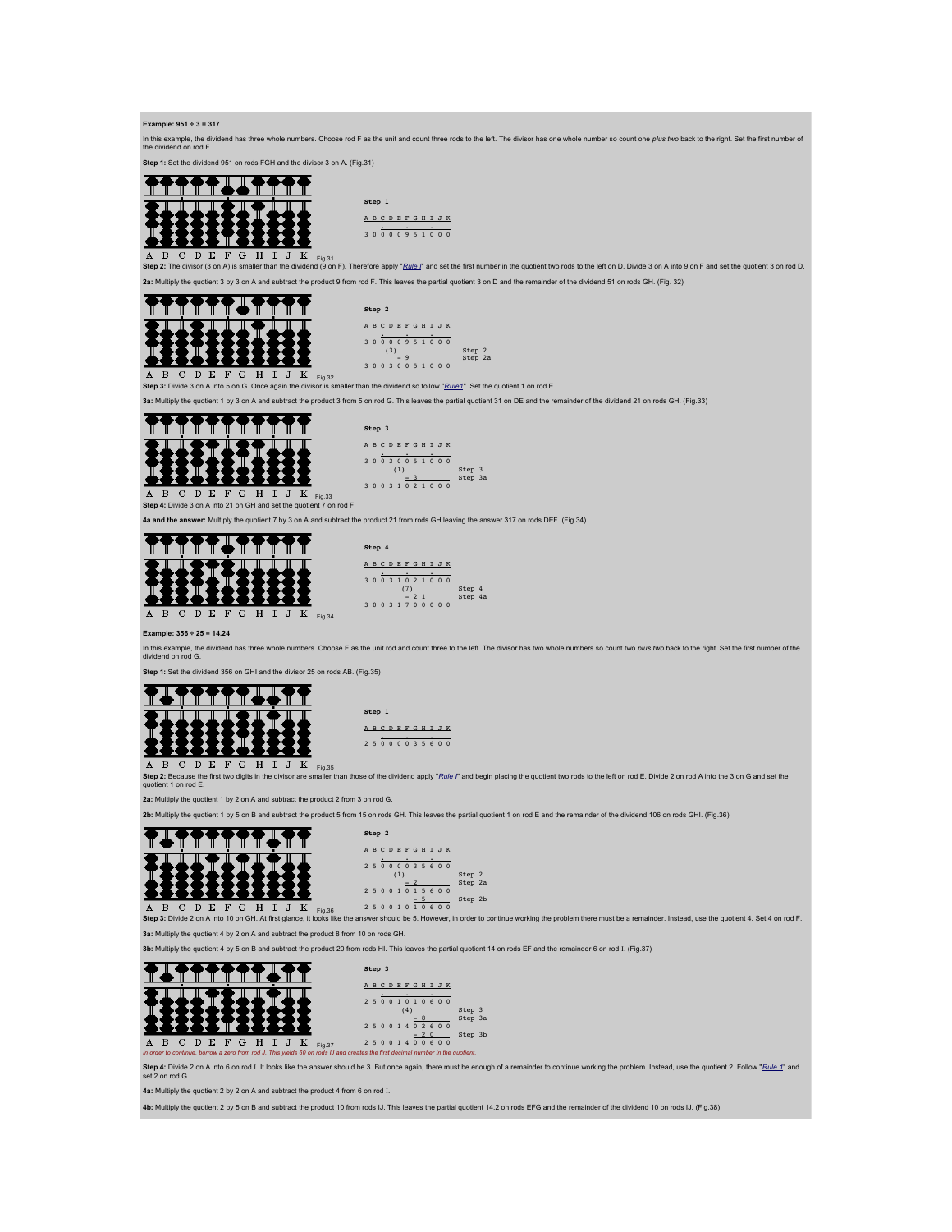### **Example: 951 ÷ 3 = 317**

In this example, the dividend has three whole numbers. Choose rod F as the unit and count three rods to the left. The divisor has one whole number so count one *plus tw*o back to the right. Set the first number of<br>the divi

**Step 1:** Set the dividend 951 on rods FGH and the divisor 3 on A. (Fig.31)



**Step 1** A B C D E F G H I J K . . . 3 0 0 0 0 9 5 1 0 0 0

 $\frac{1}{2}$  be divisor (3 on A) is smaller than the dividend (9 on F). Therefore apply "Rule\_I" and set the first number in the quotient two rods to the left on D. Divide 3 on A into 9 on F and set the quotient 3 on rod D. **2a:** Multiply the quotient 3 by 3 on A and subtract the product 9 from rod F. This leaves the partial quotient 3 on D and the remainder of the dividend 51 on rods GH. (Fig. 32)



**Step 2** A B C D E F G H I J K<br>
3 0 0 0 9 5 1 0 0 0<br>
(3) Step 2<br>
3 0 0 3 0 5 1 0 0 0<br>  $30051000$ 

Fig.32 **Step 3:** Divide 3 on A into 5 on G. Once again the divisor is smaller than the dividend so follow "*Rule1*". Set the quotient 1 on rod E.

**3a:** Multiply the quotient 1 by 3 on A and subtract the product 3 from 5 on rod G. This leaves the partial quotient 31 on DE and the remainder of the dividend 21 on rods GH. (Fig.33)



 $\mathbf{A}$ Fig.33 **Step 4:** Divide 3 on A into 21 on GH and set the quotient 7 on rod F.

**4a and the answer:** Multiply the quotient 7 by 3 on A and subtract the product 21 from rods GH leaving the answer 317 on rods DEF. (Fig.34)



|                | Step 4 |  |     |                       |  |         |  |
|----------------|--------|--|-----|-----------------------|--|---------|--|
|                |        |  |     | A B C D E F G H I J K |  |         |  |
|                |        |  |     |                       |  |         |  |
|                |        |  |     | 30031021000           |  |         |  |
|                |        |  | (7) |                       |  | Step 4  |  |
|                |        |  |     | $-21$                 |  | Step 4a |  |
| 3 <sub>0</sub> |        |  |     | 031700000             |  |         |  |

**Example: 356 ÷ 25 = 14.24**

In this example, the dividend has three whole numbers. Choose F as the unit rod and count three to the left. The divisor has two whole numbers so count two *plus two* back to the right. Set the first number of the<br>dividend

**Step 1:** Set the dividend 356 on GHI and the divisor 25 on rods AB. (Fig.35)



A U U L V L U L V L H<sub>193</sub>5<br>Step 2: Because the first two digits in the divisor are smaller than those of the dividend apply "*Rule*\_I" and begin placing the quotient two rods to the left on rod E. Divide 2 on rod A into t nt 1 on rod E.

**2a:** Multiply the quotient 1 by 2 on A and subtract the product 2 from 3 on rod G.

**2b:** Multiply the quotient 1 by 5 on B and subtract the product 5 from 15 on rods GH. This leaves the partial quotient 1 on rod E and the remainder of the dividend 106 on rods GHI. (Fig.36)



 $\overline{A}$   $\overline{B}$   $\overline{C}$   $\overline{D}$   $\overline{E}$   $\overline{F}$   $\overline{G}$   $\overline{H}$   $\overline{I}$   $\overline{J}$   $\overline{K}$   $\overline{F}$   $_{19,36}$ <br>**Step 3:** Divide 2 on A into 10 on GH. At first glance, it looks lik ....<br>Its like the answer should be 5. However, in order to continue working the problem there must be a remainder. Instead, use the quotient 4. Set 4 on rod F.

**3a:** Multiply the quotient 4 by 2 on A and subtract the product 8 from 10 on rods GH.

**3b:** Multiply the quotient 4 by 5 on B and subtract the product 20 from rods HI. This leaves the partial quotient 14 on rods EF and the remainder 6 on rod I. (Fig.37)

|                                                                                                                                                                            | Step 3                                 |                   |
|----------------------------------------------------------------------------------------------------------------------------------------------------------------------------|----------------------------------------|-------------------|
|                                                                                                                                                                            | <b>ABCDEFGHIJK</b><br>25001010600      |                   |
|                                                                                                                                                                            | (4)<br>01402600<br>250                 | Step 3<br>Step 3a |
| <b>B C D E F G H I J</b><br>А<br>Fig.37<br>In order to continue, borrow a zero from rod J. This yields 60 on rods IJ and creates the first decimal number in the quotient. | $-20$<br>0600<br>40<br>250<br>$\Omega$ | Step 3b           |

**Step 4:** Divide 2 on A into 6 on rod I. It looks like the answer should be 3. But once again, there must be enough of a remainder to continue working the problem. Instead, use the quotient 2. Follow "*Rule 1*" and set 2 on rod G.

**4a:** Multiply the quotient 2 by 2 on A and subtract the product 4 from 6 on rod I.

**4b:** Multiply the quotient 2 by 5 on B and subtract the product 10 from rods IJ. This leaves the partial quotient 14.2 on rods EFG and the remainder of the dividend 10 on rods IJ. (Fig.38)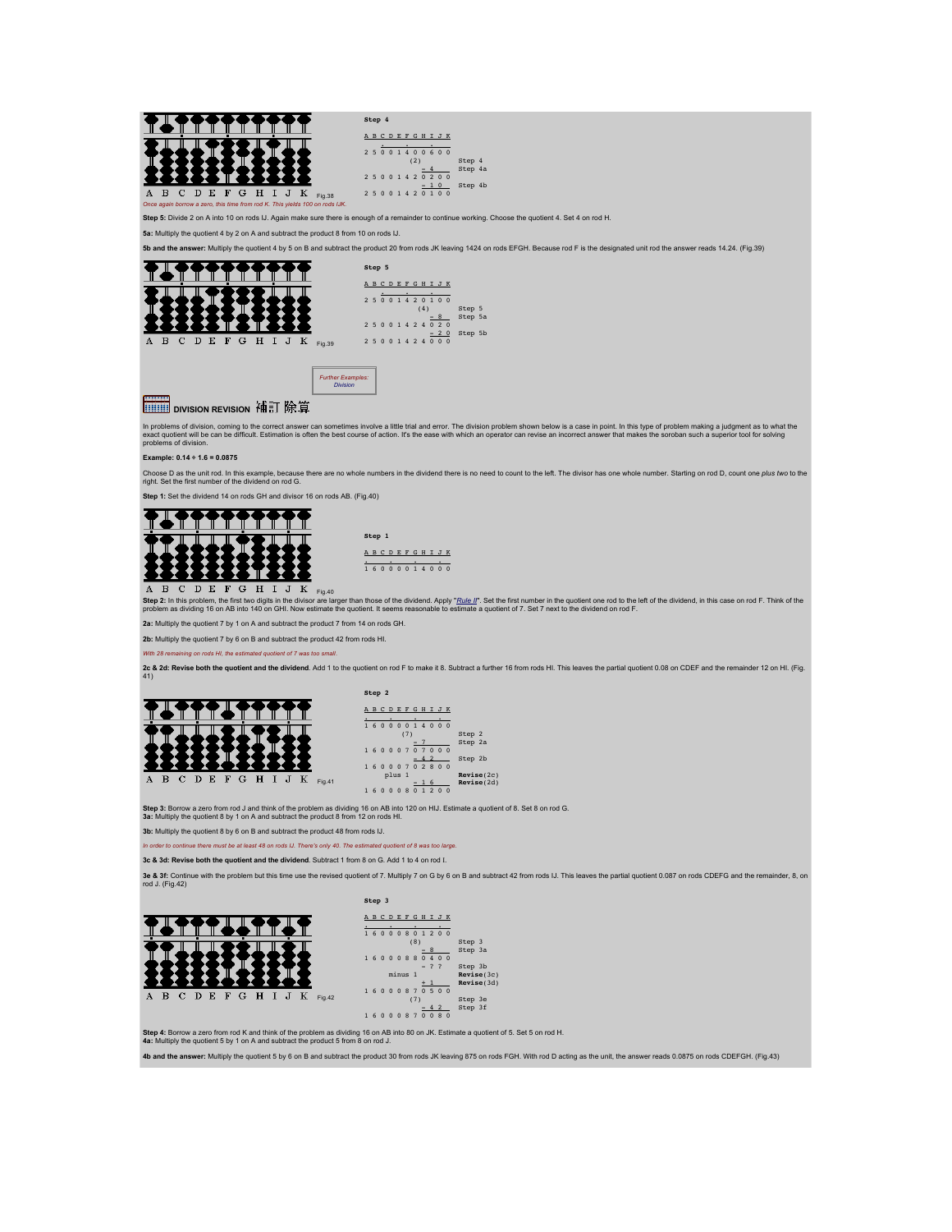

**Step 4:** Borrow a zero from rod K and think of the problem as dividing 16 on AB into 80 on JK. Estimate a quotient of 5. Set 5 on rod H.<br>**4a:** Multiply the quotient 5 by 1 on A and subtract the product 5 from 8 on rod J.

**4b and the answer:** Multiply the quotient 5 by 6 on B and subtract the product 30 from rods JK leaving 875 on rods FGH. With rod D acting as the unit, the answer reads 0.0875 on rods CDEFGH. (Fig.43)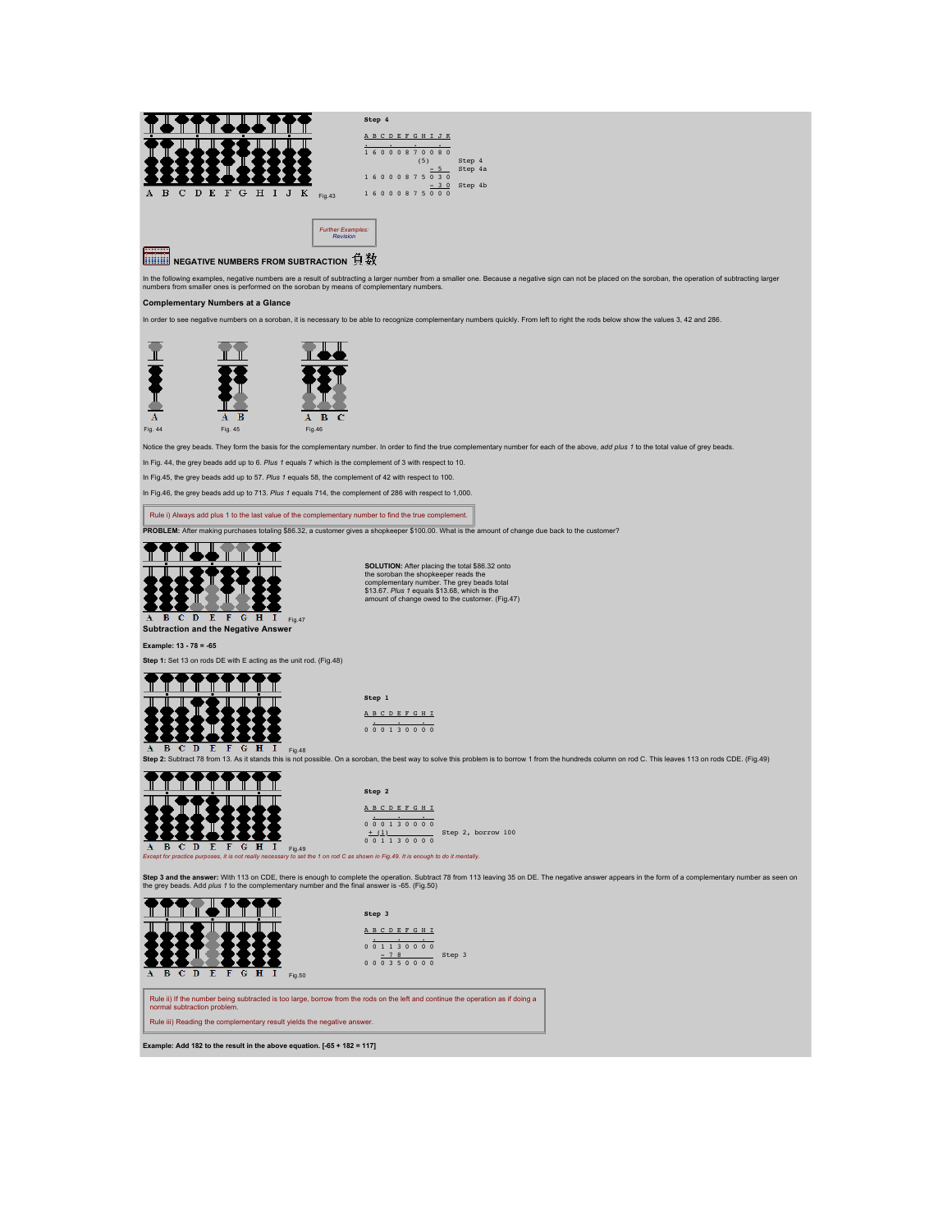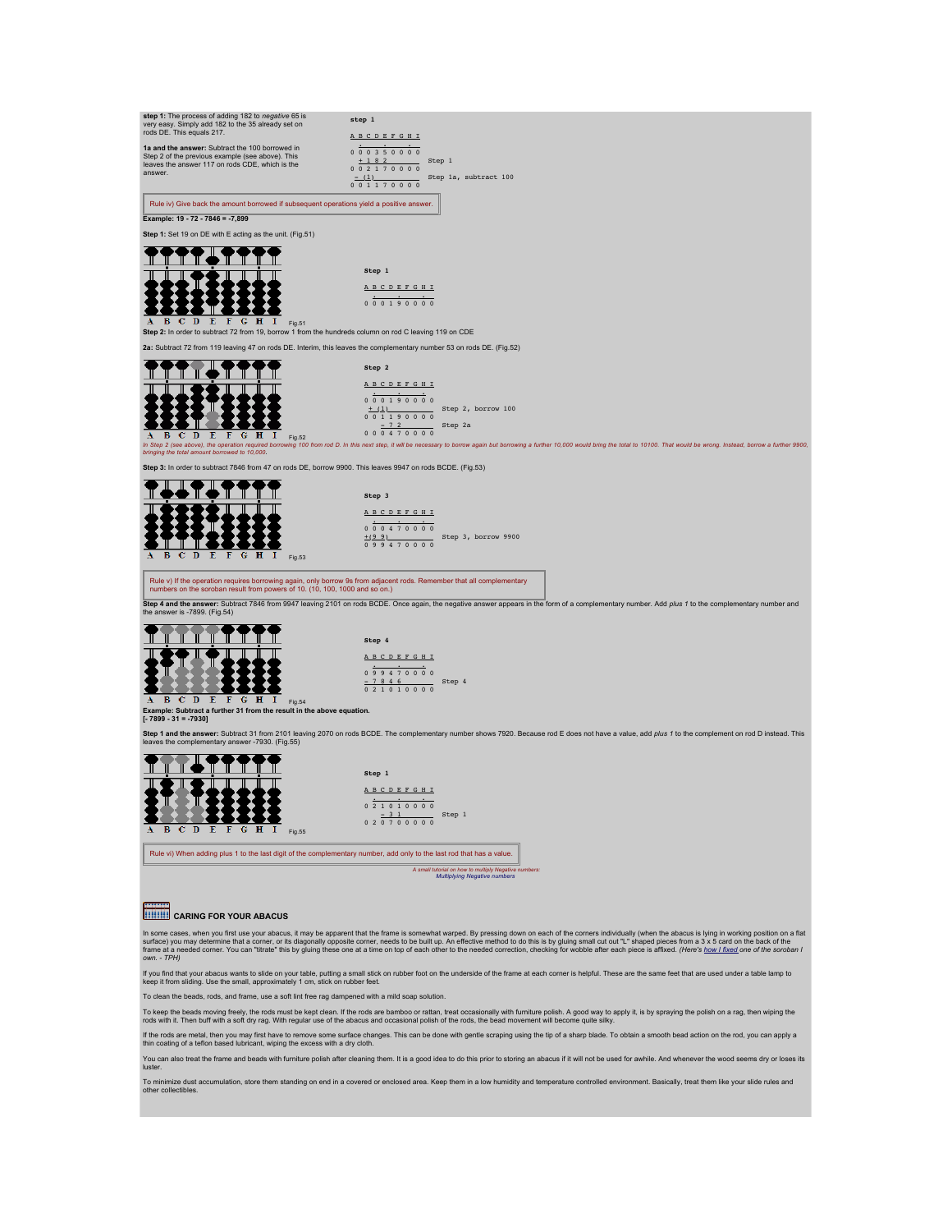

To keep the beads moving freely, the rods must be kept clean. If the rods are bamboo or rattan, treat occasionaly with furniture polisth. A good way to apply it, is by spraying the polish on a rag, then wiping the<br>rods wit

if the rods are metal, then you may first have to remove some surface changes. This can be done with gentle scraping using the tip of a sharp blade. To obtain a smooth bead action on the rod, you can apply a<br>thin coating o

You can also treat the frame and beads with furniture polish after cleaning them. It is a good idea to do this prior to storing an abacus if it will not be used for awhile. And whenever the wood seems dry or loses its luster.

To minimize dust accumulation, store them standing on end in a covered or enclosed area. Keep them in a low humidity and temperature controlled environment. Basically, treat them like your slide rules and<br>other collectible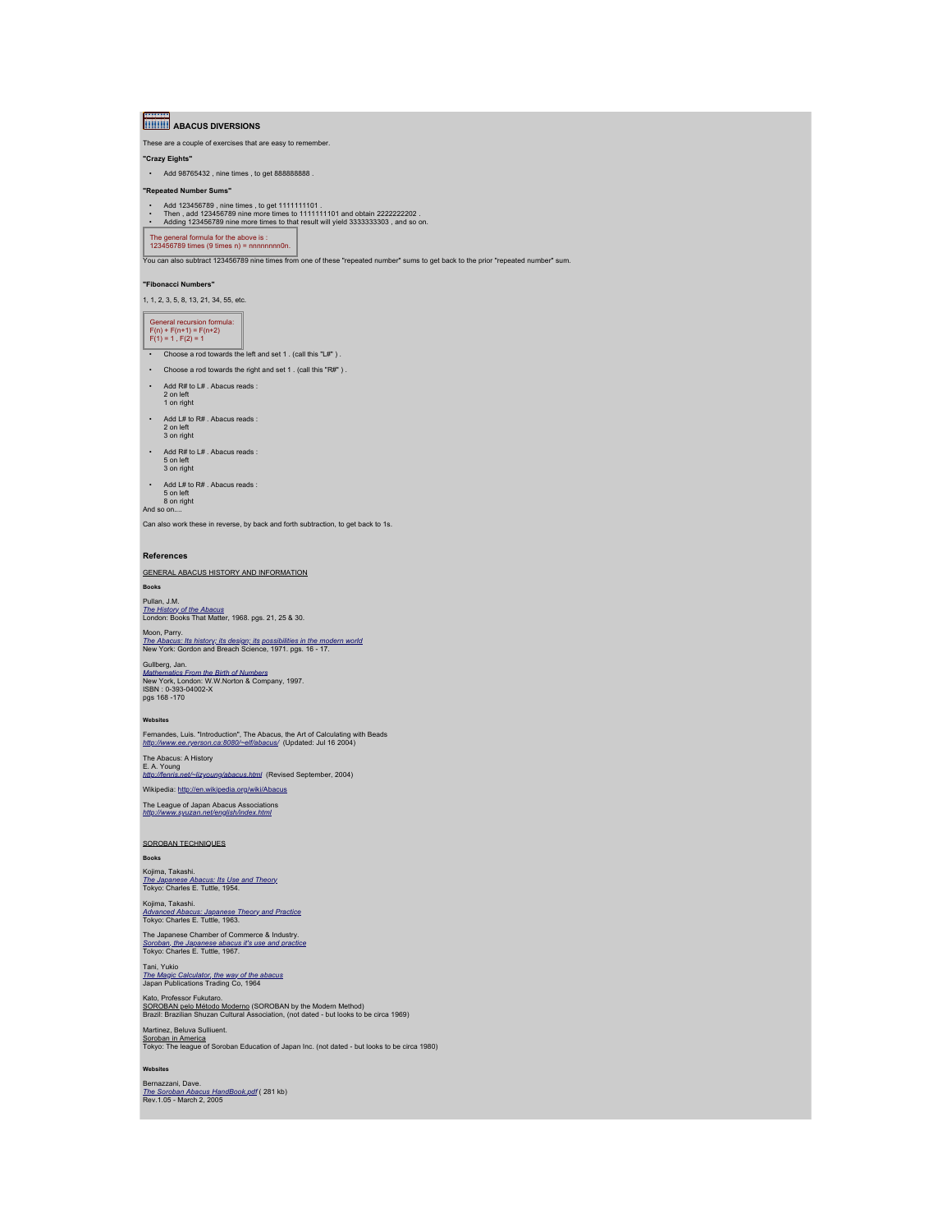**ABACUS DIVERSIONS** 

These are a couple of exercises that are easy to remember.

**"Crazy Eights"**

• Add 98765432 , nine times , to get 888888888 .

**"Repeated Number Sums"**

• Add 123456789 , nine times , to get 1111111101 .<br>• Then , add 123456789 nine more times to 111111101 and obtain 2222222202 .<br>• Adding 123456789 nine more times to that result will yield 3333333303 , and so on.

The general formula for the above is : 123456789 times (9 times n) = nnnnnnnn0n.

You can also subtract 123456789 nine times from one of these "repeated number" sums to get back to the prior "repeated number" sum.

#### **"Fibonacci Numbers"**

1, 1, 2, 3, 5, 8, 13, 21, 34, 55, etc.

# General recursion formula: F(n) + F(n+1) = F(n+2) F(1) = 1 , F(2) = 1

• Choose a rod towards the left and set 1 . (call this "L#").

- Choose a rod towards the right and set 1 . (call this "R#" ) .
- Add R# to L# . Abacus reads :
- 2 on left 1 on right
- Add L# to R# . Abacus reads : 2 on left 3 on right
- 
- Add R# to L# . Abacus reads : 5 on left 3 on right
- Add L# to R# . Abacus reads :

5 on left 8 on right And so on....

Can also work these in reverse, by back and forth subtraction, to get back to 1s.

#### **References**

GENERAL ABACUS HISTORY AND INFORMATION **Books**

Pullan, J.M. *[The History of the Abacus](http://www.bookfinder.com/search/?author=Pullan,+J.M.&title=The+History+of+the+Abacus&st=xl&ac=qr)* London: Books That Matter, 1968. pgs. 21, 25 & 30.

# Moon, Parry.<br><u>[The Abacus: Its history; its design; its possibilities in the modern world](http://www.bookfinder.com/search/?author=Parry+Moon&title=The+Abacus:+Its+History,+Its+Design,+Its+Possibilities+in+the+Modern+World&st=xl&ac=qr)</u><br>New York: Gordon and Breach Science, 1971. pgs. 16 - 17.

Gullberg, Jan.<br>*[Mathematics From the Birth of Numbers](http://www.bookfinder.com/search/?author=Gullberg,+Jan&title=mathematics+from+the+birth+of+numbers&st=xl&ac=qr)*<br>New York, London: W.W.Norton & Company, 1997.<br>ISBN : 0-393-04002-X<br>pgs 168 -170

#### **Websites**

Fernandes, Luis. "Introduction", The Abacus, the Art of Calculating with Beads *<http://www.ee.ryerson.ca:8080/~elf/abacus/>* (Updated: Jul 16 2004)

The Abacus: A History<br>E. A. Young<br><u>http://fenris.net/~lizyoung/abacus.htm</u>l (Revised September, 2004) Wikipedia:<http://en.wikipedia.org/wiki/Abacus>

The League of Japan Abacus Associations *<http://www.syuzan.net/english/index.html>*

SOROBAN TECHNIQUES

## **Books**

Kojima, Takashi.<br>*[The Japanese Abacus: Its Use and Theory](http://www.bookfinder.com/search/?title=Japanese+Abacus:+It)*<br>Tokyo: Charles E. Tuttle, 1954.

# Kojima, Takashi.<br>*[Advanced Abacus: Japanese Theory and Practice](http://www.bookfinder.com/search/?title=Advanced+Abacus:+Japanese+Theory+and+Practice&st=xl&ac=qr)*<br>Tokyo: Charles E. Tuttle, 1963.

The Japanese Chamber of Commerce & Industry. *[Soroban, the Japanese abacus it's use and practice](http://www.bookfinder.com/search/?title=soroban,+the+japanese+abacus+it)* Tokyo: Charles E. Tuttle, 1967.

Tani, Yukio *[The Magic Calculator, the way of the abacus](http://www.bookfinder.com/search/?title=The+Magic+Calculator+the+way+of+the+abacus&st=xl&ac=qr)* Japan Publications Trading Co, 1964

# Kato, Professor Fukutaro.<br><u>SOROBAN pelo Método Moderno</u> (SOROBAN by the Modern Method)<br>Brazil: Brazilian Shuzan Cultural Association, (not dated - but looks to be circa 1969)

Martinez, Beluva Sulliuent. Soroban in America Tokyo: The league of Soroban Education of Japan Inc. (not dated - but looks to be circa 1980)

**Websites** Bernazzani, Dave.<br>*[The Soroban Abacus HandBook.pdf](http://webhome.idirect.com/~totton/soroban/THE%20ABACUS%20HANDBOOK.pdf)* ( 281 kb)<br>Rev.1.05 - March 2, 2005